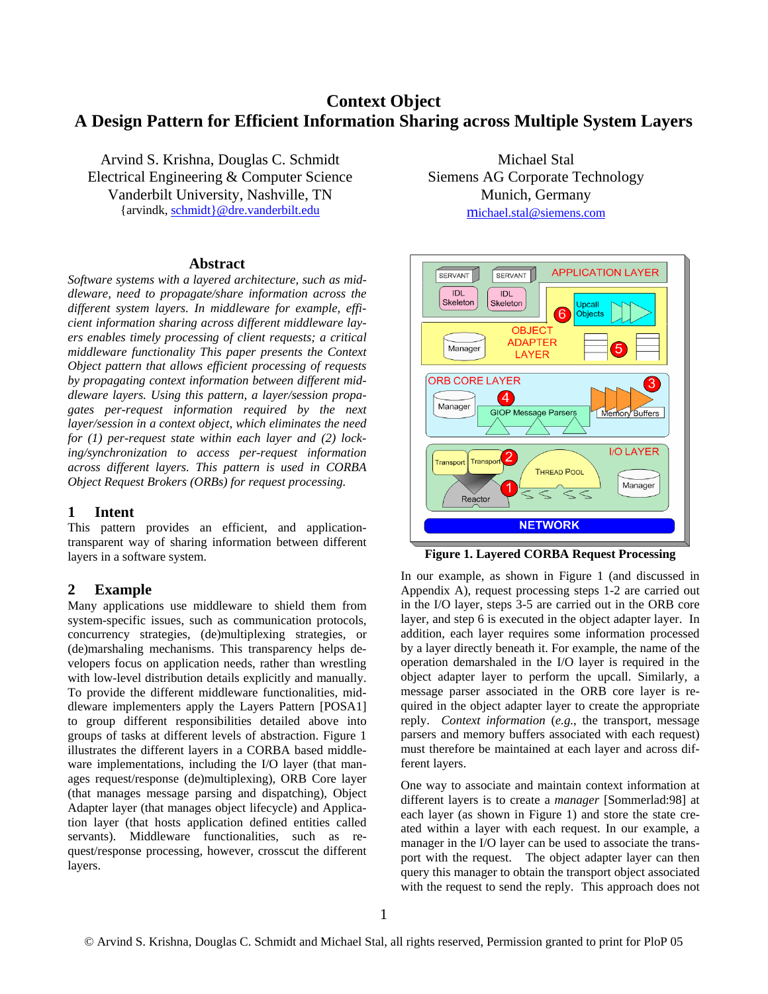# **Context Object A Design Pattern for Efficient Information Sharing across Multiple System Layers**

Arvind S. Krishna, Douglas C. Schmidt Electrical Engineering & Computer Science Vanderbilt University, Nashville, TN {arvindk, [schmidt}@dre.vanderbilt.edu](mailto:schmidt%7D@dre.vanderbilt.edu)

#### **Abstract**

*Software systems with a layered architecture, such as middleware, need to propagate/share information across the different system layers. In middleware for example, efficient information sharing across different middleware layers enables timely processing of client requests; a critical middleware functionality This paper presents the Context Object pattern that allows efficient processing of requests by propagating context information between different middleware layers. Using this pattern, a layer/session propagates per-request information required by the next layer/session in a context object, which eliminates the need for (1) per-request state within each layer and (2) locking/synchronization to access per-request information across different layers. This pattern is used in CORBA Object Request Brokers (ORBs) for request processing.* 

#### **1 Intent**

This pattern provides an efficient, and applicationtransparent way of sharing information between different layers in a software system.

# **2 Example**

Many applications use middleware to shield them from system-specific issues, such as communication protocols, concurrency strategies, (de)multiplexing strategies, or (de)marshaling mechanisms. This transparency helps developers focus on application needs, rather than wrestling with low-level distribution details explicitly and manually. To provide the different middleware functionalities, middleware implementers apply the Layers Pattern [POSA1] to group different responsibilities detailed above into groups of tasks at different levels of abstraction. Figure 1 illustrates the different layers in a CORBA based middleware implementations, including the I/O layer (that manages request/response (de)multiplexing), ORB Core layer (that manages message parsing and dispatching), Object Adapter layer (that manages object lifecycle) and Application layer (that hosts application defined entities called servants). Middleware functionalities, such as request/response processing, however, crosscut the different layers.

Michael Stal Siemens AG Corporate Technology Munich, Germany [michael.stal@siemens.com](mailto:michael.stal@siemens.com)



**Figure 1. Layered CORBA Request Processing** 

In our example, as shown in Figure 1 (and discussed in Appendix A), request processing steps 1-2 are carried out in the I/O layer, steps 3-5 are carried out in the ORB core layer, and step 6 is executed in the object adapter layer. In addition, each layer requires some information processed by a layer directly beneath it. For example, the name of the operation demarshaled in the I/O layer is required in the object adapter layer to perform the upcall. Similarly, a message parser associated in the ORB core layer is required in the object adapter layer to create the appropriate reply. *Context information* (*e.g.*, the transport, message parsers and memory buffers associated with each request) must therefore be maintained at each layer and across different layers.

One way to associate and maintain context information at different layers is to create a *manager* [Sommerlad:98] at each layer (as shown in Figure 1) and store the state created within a layer with each request. In our example, a manager in the I/O layer can be used to associate the transport with the request. The object adapter layer can then query this manager to obtain the transport object associated with the request to send the reply. This approach does not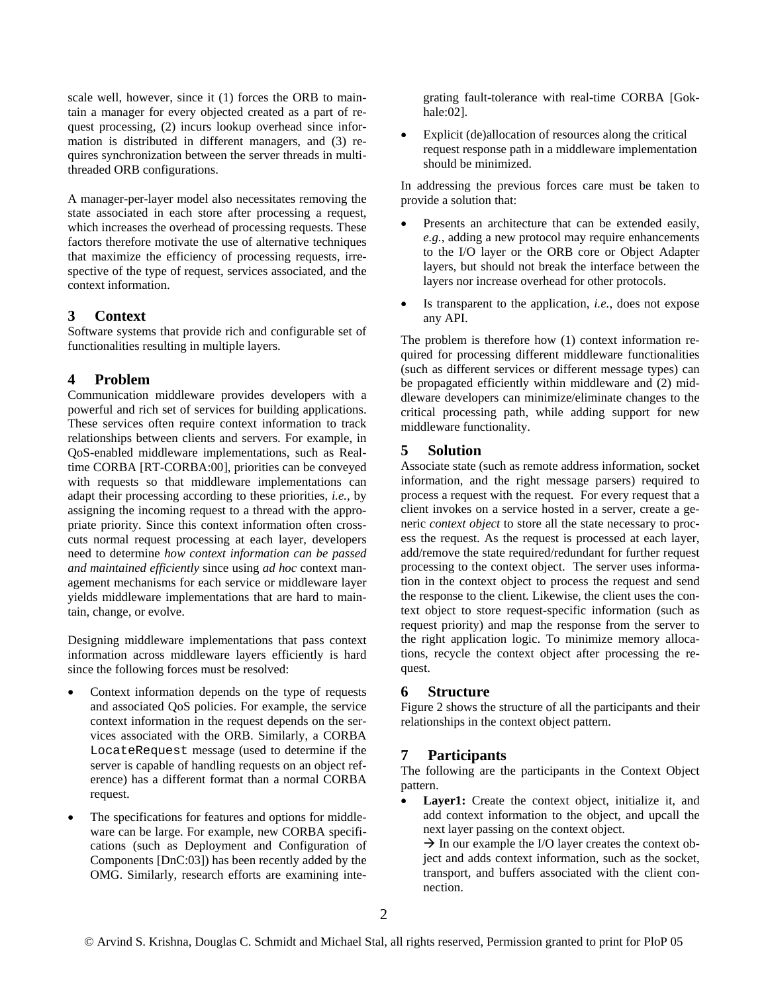scale well, however, since it (1) forces the ORB to maintain a manager for every objected created as a part of request processing, (2) incurs lookup overhead since information is distributed in different managers, and (3) requires synchronization between the server threads in multithreaded ORB configurations.

A manager-per-layer model also necessitates removing the state associated in each store after processing a request, which increases the overhead of processing requests. These factors therefore motivate the use of alternative techniques that maximize the efficiency of processing requests, irrespective of the type of request, services associated, and the context information.

### **3 Context**

Software systems that provide rich and configurable set of functionalities resulting in multiple layers.

# **4 Problem**

Communication middleware provides developers with a powerful and rich set of services for building applications. These services often require context information to track relationships between clients and servers. For example, in QoS-enabled middleware implementations, such as Realtime CORBA [RT-CORBA:00], priorities can be conveyed with requests so that middleware implementations can adapt their processing according to these priorities, *i.e.,* by assigning the incoming request to a thread with the appropriate priority. Since this context information often crosscuts normal request processing at each layer, developers need to determine *how context information can be passed and maintained efficiently* since using *ad hoc* context management mechanisms for each service or middleware layer yields middleware implementations that are hard to maintain, change, or evolve.

Designing middleware implementations that pass context information across middleware layers efficiently is hard since the following forces must be resolved:

- Context information depends on the type of requests and associated QoS policies. For example, the service context information in the request depends on the services associated with the ORB. Similarly, a CORBA LocateRequest message (used to determine if the server is capable of handling requests on an object reference) has a different format than a normal CORBA request.
- The specifications for features and options for middleware can be large. For example, new CORBA specifications (such as Deployment and Configuration of Components [DnC:03]) has been recently added by the OMG. Similarly, research efforts are examining inte-

grating fault-tolerance with real-time CORBA [Gokhale:02].

Explicit (de)allocation of resources along the critical request response path in a middleware implementation should be minimized.

In addressing the previous forces care must be taken to provide a solution that:

- Presents an architecture that can be extended easily, *e.g.*, adding a new protocol may require enhancements to the I/O layer or the ORB core or Object Adapter layers, but should not break the interface between the layers nor increase overhead for other protocols.
- Is transparent to the application, *i.e.*, does not expose any API.

The problem is therefore how (1) context information required for processing different middleware functionalities (such as different services or different message types) can be propagated efficiently within middleware and (2) middleware developers can minimize/eliminate changes to the critical processing path, while adding support for new middleware functionality.

### **5 Solution**

Associate state (such as remote address information, socket information, and the right message parsers) required to process a request with the request. For every request that a client invokes on a service hosted in a server, create a generic *context object* to store all the state necessary to process the request. As the request is processed at each layer, add/remove the state required/redundant for further request processing to the context object. The server uses information in the context object to process the request and send the response to the client. Likewise, the client uses the context object to store request-specific information (such as request priority) and map the response from the server to the right application logic. To minimize memory allocations, recycle the context object after processing the request.

# **6 Structure**

Figure 2 shows the structure of all the participants and their relationships in the context object pattern.

# **7 Participants**

The following are the participants in the Context Object pattern.

• **Layer1:** Create the context object, initialize it, and add context information to the object, and upcall the next layer passing on the context object.  $\rightarrow$  In our example the I/O layer creates the context ob-

ject and adds context information, such as the socket, transport, and buffers associated with the client connection.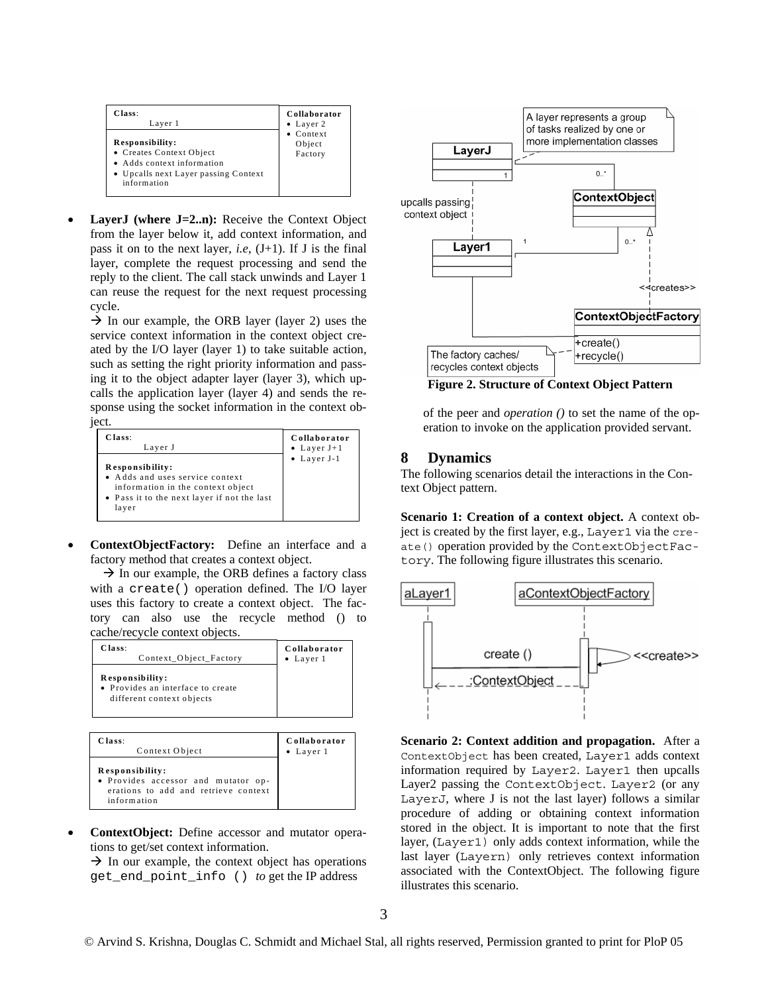| Class:                                                                                                                           | Collaborator                           |
|----------------------------------------------------------------------------------------------------------------------------------|----------------------------------------|
| Layer 1                                                                                                                          | $\bullet$ Layer 2                      |
| Responsibility:<br>• Creates Context Object<br>• Adds context information<br>• Upcalls next Layer passing Context<br>information | $\bullet$ Context<br>Object<br>Factory |

LayerJ (where J=2..n): Receive the Context Object from the layer below it, add context information, and pass it on to the next layer, *i.e*, (J+1). If J is the final layer, complete the request processing and send the reply to the client. The call stack unwinds and Layer 1 can reuse the request for the next request processing cycle.

 $\rightarrow$  In our example, the ORB layer (layer 2) uses the service context information in the context object created by the I/O layer (layer 1) to take suitable action, such as setting the right priority information and passing it to the object adapter layer (layer 3), which upcalls the application layer (layer 4) and sends the response using the socket information in the context ob-

ject.

| Class:                                                                                                                                          | Collaborator        |
|-------------------------------------------------------------------------------------------------------------------------------------------------|---------------------|
| Layer J                                                                                                                                         | • Layer $J+1$       |
| Responsibility:<br>• Adds and uses service context<br>information in the context object<br>• Pass it to the next layer if not the last<br>layer | $\bullet$ Layer J-1 |

• **ContextObjectFactory:** Define an interface and a factory method that creates a context object.

 $\rightarrow$  In our example, the ORB defines a factory class with a create() operation defined. The I/O layer uses this factory to create a context object. The factory can also use the recycle method () to cache/recycle context objects.

| Class:                                                                            | Collaborator      |
|-----------------------------------------------------------------------------------|-------------------|
| Context Object Factory                                                            | $\bullet$ Layer 1 |
| Responsibility:<br>• Provides an interface to create<br>different context objects |                   |

| Class:                                                                                                        | Collaborator      |
|---------------------------------------------------------------------------------------------------------------|-------------------|
| Context Object                                                                                                | $\bullet$ Layer 1 |
| Responsibility:<br>• Provides accessor and mutator op-<br>erations to add and retrieve context<br>information |                   |

• **ContextObject:** Define accessor and mutator operations to get/set context information.

 $\rightarrow$  In our example, the context object has operations get\_end\_point\_info () *to* get the IP address



**Figure 2. Structure of Context Object Pattern** 

of the peer and *operation ()* to set the name of the operation to invoke on the application provided servant.

### **8 Dynamics**

The following scenarios detail the interactions in the Context Object pattern.

**Scenario 1: Creation of a context object.** A context object is created by the first layer, e.g., Layer1 via the create() operation provided by the ContextObjectFactory. The following figure illustrates this scenario.



**Scenario 2: Context addition and propagation.** After a ContextObject has been created, Layer1 adds context information required by Layer2. Layer1 then upcalls Layer2 passing the ContextObject. Layer2 (or any LayerJ, where J is not the last layer) follows a similar procedure of adding or obtaining context information stored in the object. It is important to note that the first layer, (Layer1) only adds context information, while the last layer (Layern) only retrieves context information associated with the ContextObject. The following figure illustrates this scenario.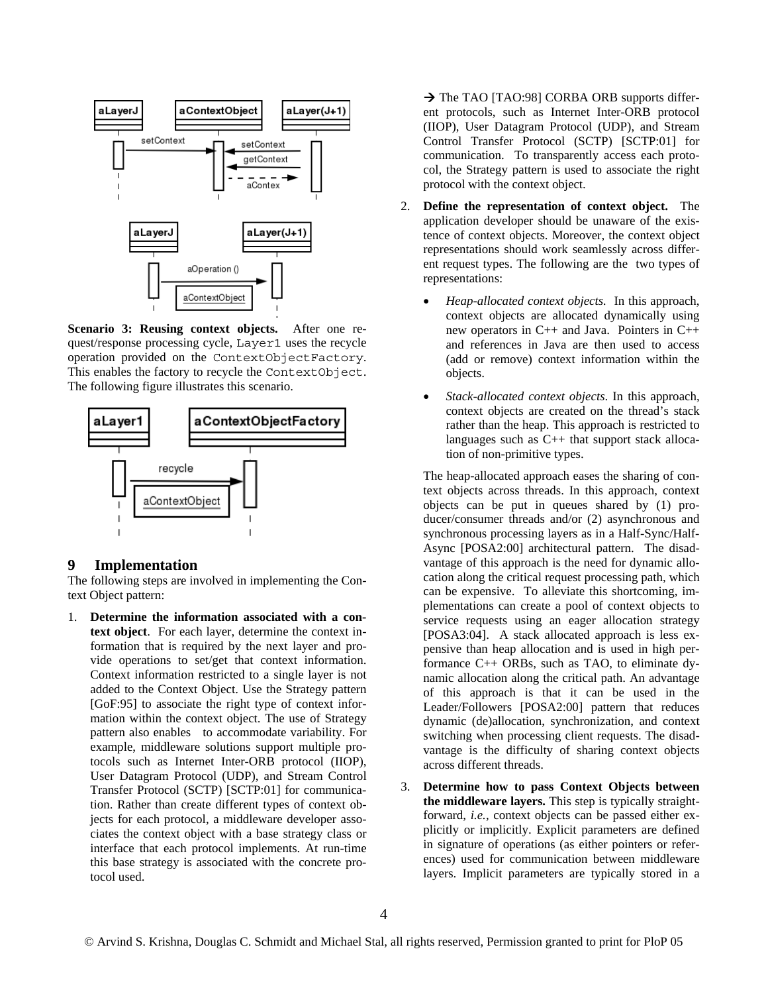

**Scenario 3: Reusing context objects.** After one request/response processing cycle, Layer1 uses the recycle operation provided on the ContextObjectFactory. This enables the factory to recycle the ContextObject. The following figure illustrates this scenario.



### **9 Implementation**

The following steps are involved in implementing the Context Object pattern:

1. **Determine the information associated with a context object**. For each layer, determine the context information that is required by the next layer and provide operations to set/get that context information. Context information restricted to a single layer is not added to the Context Object. Use the Strategy pattern [GoF:95] to associate the right type of context information within the context object. The use of Strategy pattern also enables to accommodate variability. For example, middleware solutions support multiple protocols such as Internet Inter-ORB protocol (IIOP), User Datagram Protocol (UDP), and Stream Control Transfer Protocol (SCTP) [SCTP:01] for communication. Rather than create different types of context objects for each protocol, a middleware developer associates the context object with a base strategy class or interface that each protocol implements. At run-time this base strategy is associated with the concrete protocol used.

→ The TAO [TAO:98] CORBA ORB supports different protocols, such as Internet Inter-ORB protocol (IIOP), User Datagram Protocol (UDP), and Stream Control Transfer Protocol (SCTP) [SCTP:01] for communication. To transparently access each protocol, the Strategy pattern is used to associate the right protocol with the context object.

- 2. **Define the representation of context object.** The application developer should be unaware of the existence of context objects. Moreover, the context object representations should work seamlessly across different request types. The following are the two types of representations:
	- *Heap-allocated context objects.* In this approach, context objects are allocated dynamically using new operators in C++ and Java. Pointers in C++ and references in Java are then used to access (add or remove) context information within the objects.
	- *Stack-allocated context objects*. In this approach, context objects are created on the thread's stack rather than the heap. This approach is restricted to languages such as C++ that support stack allocation of non-primitive types.

The heap-allocated approach eases the sharing of context objects across threads. In this approach, context objects can be put in queues shared by (1) producer/consumer threads and/or (2) asynchronous and synchronous processing layers as in a Half-Sync/Half-Async [POSA2:00] architectural pattern. The disadvantage of this approach is the need for dynamic allocation along the critical request processing path, which can be expensive. To alleviate this shortcoming, implementations can create a pool of context objects to service requests using an eager allocation strategy [POSA3:04]. A stack allocated approach is less expensive than heap allocation and is used in high performance C++ ORBs, such as TAO, to eliminate dynamic allocation along the critical path. An advantage of this approach is that it can be used in the Leader/Followers [POSA2:00] pattern that reduces dynamic (de)allocation, synchronization, and context switching when processing client requests. The disadvantage is the difficulty of sharing context objects across different threads.

3. **Determine how to pass Context Objects between the middleware layers.** This step is typically straightforward, *i.e.*, context objects can be passed either explicitly or implicitly. Explicit parameters are defined in signature of operations (as either pointers or references) used for communication between middleware layers. Implicit parameters are typically stored in a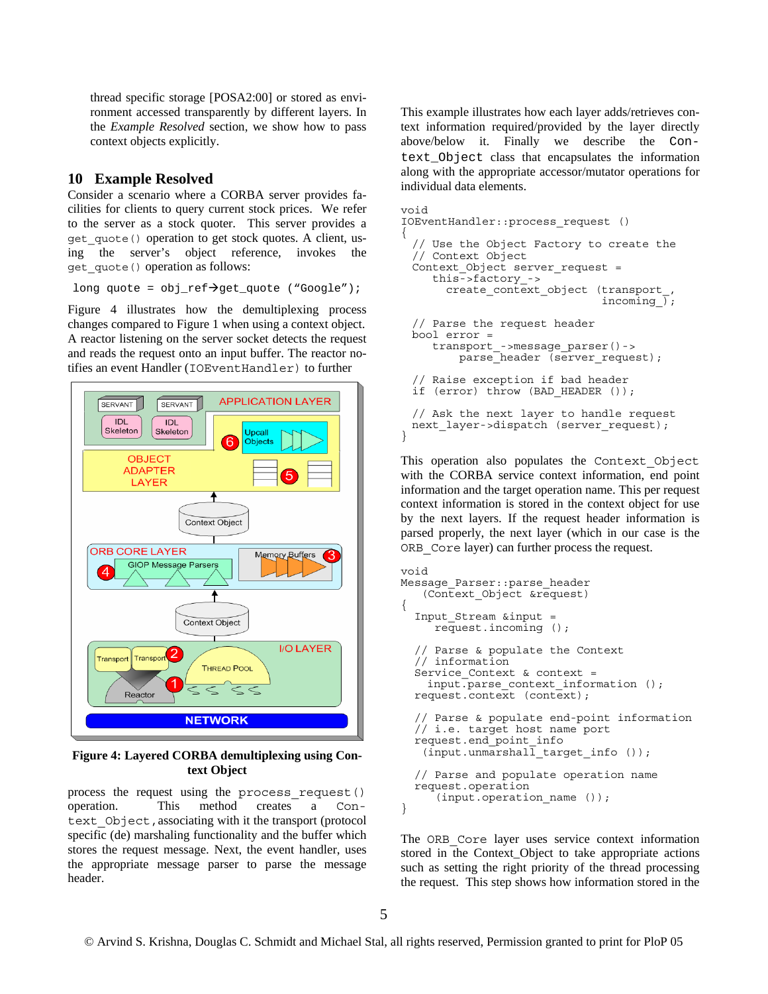thread specific storage [POSA2:00] or stored as environment accessed transparently by different layers. In the *Example Resolved* section, we show how to pass context objects explicitly.

# **10 Example Resolved**

Consider a scenario where a CORBA server provides facilities for clients to query current stock prices. We refer to the server as a stock quoter. This server provides a get\_quote() operation to get stock quotes. A client, using the server's object reference, invokes the get\_quote() operation as follows:

long quote =  $obj\_ref \rightarrow get\_quote$  ("Google");

Figure 4 illustrates how the demultiplexing process changes compared to Figure 1 when using a context object. A reactor listening on the server socket detects the request and reads the request onto an input buffer. The reactor notifies an event Handler (IOEventHandler) to further



**Figure 4: Layered CORBA demultiplexing using Context Object** 

process the request using the process\_request() operation. This method creates a Context Object, associating with it the transport (protocol specific (de) marshaling functionality and the buffer which stores the request message. Next, the event handler, uses the appropriate message parser to parse the message header.

This example illustrates how each layer adds/retrieves context information required/provided by the layer directly above/below it. Finally we describe the Context\_Object class that encapsulates the information along with the appropriate accessor/mutator operations for individual data elements.

```
void 
IOEventHandler::process_request () 
{ 
 // Use the Object Factory to create the 
 // Context Object 
 Context Object server request =
     this->factory ->
        create_context_object (transport_, 
                                incoming \overline{)};
  // Parse the request header 
 bool error = 
      transport_->message_parser()-> 
         parse<sup>header</sup> (server request);
 // Raise exception if bad header 
 if (error) throw (BAD HEADER ());
 // Ask the next layer to handle request 
 next_layer->dispatch (server_request);
}
```
This operation also populates the Context\_Object with the CORBA service context information, end point information and the target operation name. This per request context information is stored in the context object for use by the next layers. If the request header information is parsed properly, the next layer (which in our case is the ORB\_Core layer) can further process the request.

```
void 
Message_Parser::parse_header 
    (Context_Object &request) 
{ 
   Input_Stream &input = 
      request.incoming (); 
   // Parse & populate the Context 
   // information 
  Service Context & context =
    input.parse_context_information (); 
   request.context (context); 
   // Parse & populate end-point information 
   // i.e. target host name port 
   request.end_point_info 
   (input.unmarshall target info ();
   // Parse and populate operation name 
   request.operation 
       (input.operation_name ()); 
}
```
The ORB Core layer uses service context information stored in the Context\_Object to take appropriate actions such as setting the right priority of the thread processing the request. This step shows how information stored in the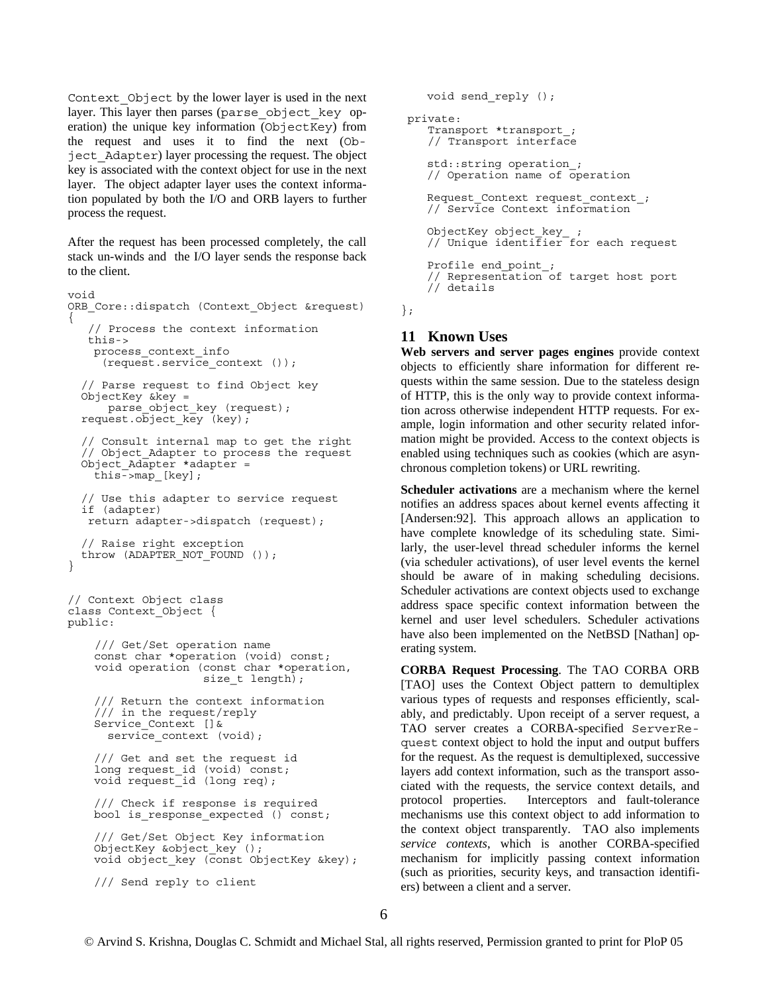Context\_Object by the lower layer is used in the next layer. This layer then parses (parse\_object\_key operation) the unique key information (ObjectKey) from the request and uses it to find the next (Object\_Adapter) layer processing the request. The object key is associated with the context object for use in the next layer. The object adapter layer uses the context information populated by both the I/O and ORB layers to further process the request.

After the request has been processed completely, the call stack un-winds and the I/O layer sends the response back to the client.

```
void 
ORB_Core::dispatch (Context_Object &request) 
{ 
    // Process the context information 
    this-> 
   process_context_info 
      (request.service_context ()); 
   // Parse request to find Object key 
   ObjectKey &key = 
      parse object key (request);
  request.object key (key);
   // Consult internal map to get the right 
   // Object_Adapter to process the request 
  Object Adapter *adapter =this->map_[key]; 
   // Use this adapter to service request 
   if (adapter) 
    return adapter->dispatch (request); 
   // Raise right exception 
   throw (ADAPTER_NOT_FOUND ()); 
} 
// Context Object class 
class Context_Object { 
public: 
     /// Get/Set operation name 
    const char *operation (void) const; 
     void operation (const char *operation, 
                     size t length);
    /// Return the context information 
    /// in the request/reply 
    Service Context [] &
      service context (void);
    /// Get and set the request id 
    long request id (void) const;
    void request_id (long req); 
    /// Check if response is required 
    bool is response expected () const;
    /// Get/Set Object Key information 
    ObjectKey &object key ();
    void object key (const ObjectKey &key);
    /// Send reply to client
```

```
void send_reply (); 
 private: 
    Transport *transport_; 
    // Transport interface 
   std::string operation_; 
   // Operation name of operation 
   Request_Context request_context_; 
   // Service Context information 
   ObjectKey object_key_ ; 
   // Unique identifier for each request 
   Profile end point_;
   // Representation of target host port 
   // details
```
};

# **11 Known Uses**

**Web servers and server pages engines** provide context objects to efficiently share information for different requests within the same session. Due to the stateless design of HTTP, this is the only way to provide context information across otherwise independent HTTP requests. For example, login information and other security related information might be provided. Access to the context objects is enabled using techniques such as cookies (which are asynchronous completion tokens) or URL rewriting.

**Scheduler activations** are a mechanism where the kernel notifies an address spaces about kernel events affecting it [Andersen:92]. This approach allows an application to have complete knowledge of its scheduling state. Similarly, the user-level thread scheduler informs the kernel (via scheduler activations), of user level events the kernel should be aware of in making scheduling decisions. Scheduler activations are context objects used to exchange address space specific context information between the kernel and user level schedulers. Scheduler activations have also been implemented on the NetBSD [Nathan] operating system.

**CORBA Request Processing**. The TAO CORBA ORB [TAO] uses the Context Object pattern to demultiplex various types of requests and responses efficiently, scalably, and predictably. Upon receipt of a server request, a TAO server creates a CORBA-specified ServerRequest context object to hold the input and output buffers for the request. As the request is demultiplexed, successive layers add context information, such as the transport associated with the requests, the service context details, and protocol properties. Interceptors and fault-tolerance mechanisms use this context object to add information to the context object transparently. TAO also implements *service contexts*, which is another CORBA-specified mechanism for implicitly passing context information (such as priorities, security keys, and transaction identifiers) between a client and a server.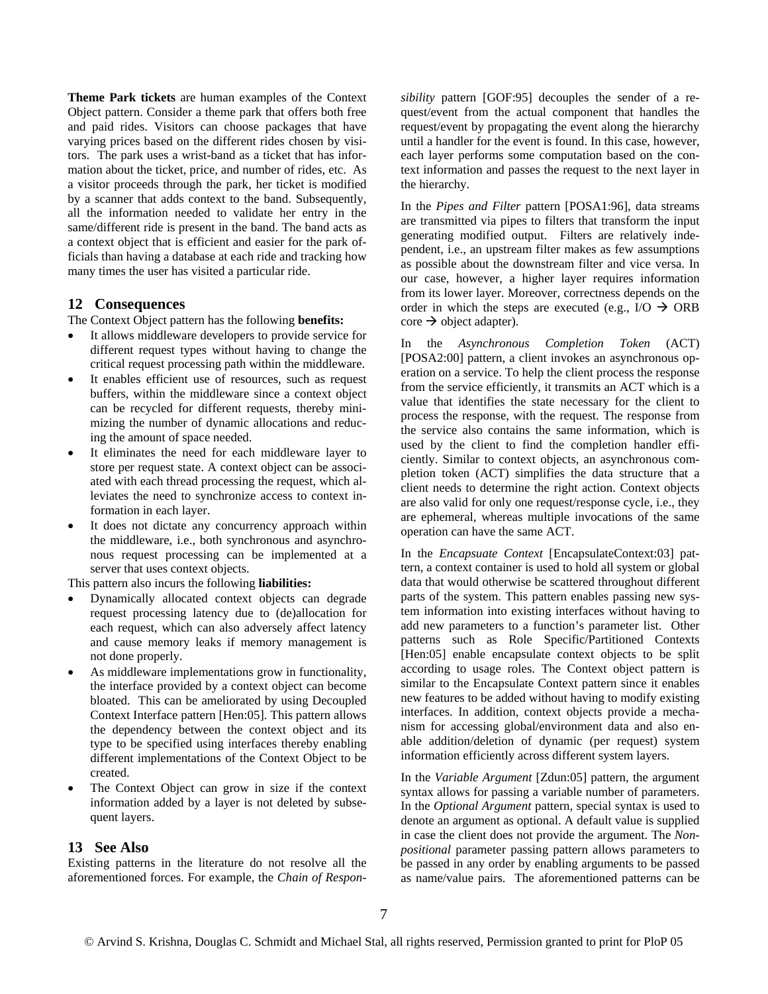**Theme Park tickets** are human examples of the Context Object pattern. Consider a theme park that offers both free and paid rides. Visitors can choose packages that have varying prices based on the different rides chosen by visitors. The park uses a wrist-band as a ticket that has information about the ticket, price, and number of rides, etc. As a visitor proceeds through the park, her ticket is modified by a scanner that adds context to the band. Subsequently, all the information needed to validate her entry in the same/different ride is present in the band. The band acts as a context object that is efficient and easier for the park officials than having a database at each ride and tracking how many times the user has visited a particular ride.

### **12 Consequences**

The Context Object pattern has the following **benefits:** 

- It allows middleware developers to provide service for different request types without having to change the critical request processing path within the middleware.
- It enables efficient use of resources, such as request buffers, within the middleware since a context object can be recycled for different requests, thereby minimizing the number of dynamic allocations and reducing the amount of space needed.
- It eliminates the need for each middleware layer to store per request state. A context object can be associated with each thread processing the request, which alleviates the need to synchronize access to context information in each layer.
- It does not dictate any concurrency approach within the middleware, i.e., both synchronous and asynchronous request processing can be implemented at a server that uses context objects.

This pattern also incurs the following **liabilities:** 

- Dynamically allocated context objects can degrade request processing latency due to (de)allocation for each request, which can also adversely affect latency and cause memory leaks if memory management is not done properly.
- As middleware implementations grow in functionality, the interface provided by a context object can become bloated. This can be ameliorated by using Decoupled Context Interface pattern [Hen:05]. This pattern allows the dependency between the context object and its type to be specified using interfaces thereby enabling different implementations of the Context Object to be created.
- The Context Object can grow in size if the context information added by a layer is not deleted by subsequent layers.

#### **13 See Also**

Existing patterns in the literature do not resolve all the aforementioned forces. For example, the *Chain of Respon-* *sibility* pattern [GOF:95] decouples the sender of a request/event from the actual component that handles the request/event by propagating the event along the hierarchy until a handler for the event is found. In this case, however, each layer performs some computation based on the context information and passes the request to the next layer in the hierarchy.

In the *Pipes and Filter* pattern [POSA1:96], data streams are transmitted via pipes to filters that transform the input generating modified output. Filters are relatively independent, i.e., an upstream filter makes as few assumptions as possible about the downstream filter and vice versa. In our case, however, a higher layer requires information from its lower layer. Moreover, correctness depends on the order in which the steps are executed (e.g.,  $I/O \rightarrow ORB$  $\csc \rightarrow$  object adapter).

In the *Asynchronous Completion Token* (ACT) [POSA2:00] pattern, a client invokes an asynchronous operation on a service. To help the client process the response from the service efficiently, it transmits an ACT which is a value that identifies the state necessary for the client to process the response, with the request. The response from the service also contains the same information, which is used by the client to find the completion handler efficiently. Similar to context objects, an asynchronous completion token (ACT) simplifies the data structure that a client needs to determine the right action. Context objects are also valid for only one request/response cycle, i.e., they are ephemeral, whereas multiple invocations of the same operation can have the same ACT.

In the *Encapsuate Context* [EncapsulateContext:03] pattern, a context container is used to hold all system or global data that would otherwise be scattered throughout different parts of the system. This pattern enables passing new system information into existing interfaces without having to add new parameters to a function's parameter list. Other patterns such as Role Specific/Partitioned Contexts [Hen:05] enable encapsulate context objects to be split according to usage roles. The Context object pattern is similar to the Encapsulate Context pattern since it enables new features to be added without having to modify existing interfaces. In addition, context objects provide a mechanism for accessing global/environment data and also enable addition/deletion of dynamic (per request) system information efficiently across different system layers.

In the *Variable Argument* [Zdun:05] pattern, the argument syntax allows for passing a variable number of parameters. In the *Optional Argument* pattern, special syntax is used to denote an argument as optional. A default value is supplied in case the client does not provide the argument. The *Nonpositional* parameter passing pattern allows parameters to be passed in any order by enabling arguments to be passed as name/value pairs. The aforementioned patterns can be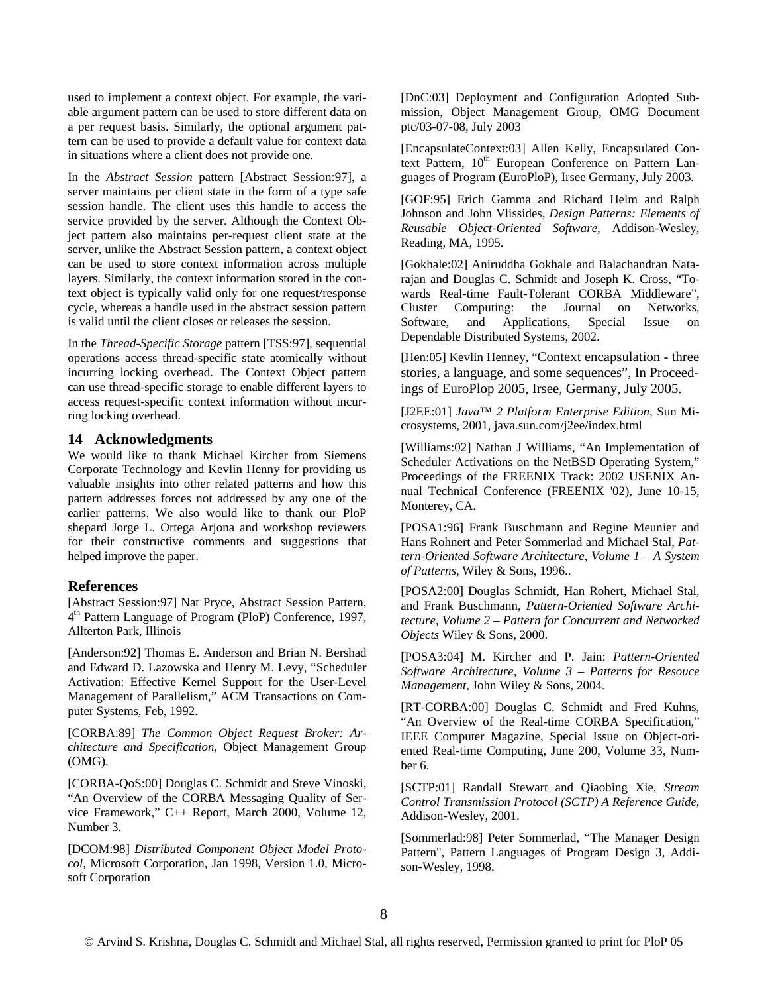used to implement a context object. For example, the variable argument pattern can be used to store different data on a per request basis. Similarly, the optional argument pattern can be used to provide a default value for context data in situations where a client does not provide one.

In the *Abstract Session* pattern [Abstract Session:97], a server maintains per client state in the form of a type safe session handle. The client uses this handle to access the service provided by the server. Although the Context Object pattern also maintains per-request client state at the server, unlike the Abstract Session pattern, a context object can be used to store context information across multiple layers. Similarly, the context information stored in the context object is typically valid only for one request/response cycle, whereas a handle used in the abstract session pattern is valid until the client closes or releases the session.

In the *Thread-Specific Storage* pattern [TSS:97], sequential operations access thread-specific state atomically without incurring locking overhead. The Context Object pattern can use thread-specific storage to enable different layers to access request-specific context information without incurring locking overhead.

#### **14 Acknowledgments**

We would like to thank Michael Kircher from Siemens Corporate Technology and Kevlin Henny for providing us valuable insights into other related patterns and how this pattern addresses forces not addressed by any one of the earlier patterns. We also would like to thank our PloP shepard Jorge L. Ortega Arjona and workshop reviewers for their constructive comments and suggestions that helped improve the paper.

#### **References**

[Abstract Session:97] Nat Pryce, Abstract Session Pattern, 4th Pattern Language of Program (PloP) Conference, 1997, Allterton Park, Illinois

[Anderson:92] Thomas E. Anderson and Brian N. Bershad and Edward D. Lazowska and Henry M. Levy, "Scheduler Activation: Effective Kernel Support for the User-Level Management of Parallelism," ACM Transactions on Computer Systems, Feb, 1992.

[CORBA:89] *The Common Object Request Broker: Architecture and Specification*, Object Management Group (OMG).

[CORBA-QoS:00] Douglas C. Schmidt and Steve Vinoski, "An Overview of the CORBA Messaging Quality of Service Framework," C++ Report, March 2000, Volume 12, Number 3.

[DCOM:98] *Distributed Component Object Model Protocol*, Microsoft Corporation, Jan 1998, Version 1.0, Microsoft Corporation

[DnC:03] Deployment and Configuration Adopted Submission, Object Management Group, OMG Document ptc/03-07-08, July 2003

[EncapsulateContext:03] Allen Kelly, Encapsulated Context Pattern,  $10^{th}$  European Conference on Pattern Languages of Program (EuroPloP), Irsee Germany, July 2003.

[GOF:95] Erich Gamma and Richard Helm and Ralph Johnson and John Vlissides, *Design Patterns: Elements of Reusable Object-Oriented Software*, Addison-Wesley, Reading, MA, 1995.

[Gokhale:02] Aniruddha Gokhale and Balachandran Natarajan and Douglas C. Schmidt and Joseph K. Cross, "Towards Real-time Fault-Tolerant CORBA Middleware", Cluster Computing: the Journal on Networks, Software, and Applications, Special Issue on Dependable Distributed Systems, 2002.

[Hen:05] Kevlin Henney, "Context encapsulation - three stories, a language, and some sequences", In Proceedings of EuroPlop 2005, Irsee, Germany, July 2005.

[J2EE:01] *Java™ 2 Platform Enterprise Edition*, Sun Microsystems, 2001, java.sun.com/j2ee/index.html

[Williams:02] Nathan J Williams, "An Implementation of Scheduler Activations on the NetBSD Operating System," Proceedings of the FREENIX Track: 2002 USENIX Annual Technical Conference (FREENIX '02), June 10-15, Monterey, CA.

[POSA1:96] Frank Buschmann and Regine Meunier and Hans Rohnert and Peter Sommerlad and Michael Stal, *Pattern-Oriented Software Architecture, Volume 1 – A System of Patterns*, Wiley & Sons, 1996..

[POSA2:00] Douglas Schmidt, Han Rohert, Michael Stal, and Frank Buschmann, *Pattern-Oriented Software Architecture, Volume 2 – Pattern for Concurrent and Networked Objects* Wiley & Sons, 2000.

[POSA3:04] M. Kircher and P. Jain: *Pattern-Oriented Software Architecture, Volume 3 – Patterns for Resouce Management,* John Wiley & Sons, 2004.

[RT-CORBA:00] Douglas C. Schmidt and Fred Kuhns, "An Overview of the Real-time CORBA Specification," IEEE Computer Magazine, Special Issue on Object-oriented Real-time Computing, June 200, Volume 33, Number 6.

[SCTP:01] Randall Stewart and Qiaobing Xie, *Stream Control Transmission Protocol (SCTP) A Reference Guide*, Addison-Wesley, 2001.

[Sommerlad:98] Peter Sommerlad, "The Manager Design Pattern", Pattern Languages of Program Design 3, Addison-Wesley, 1998.